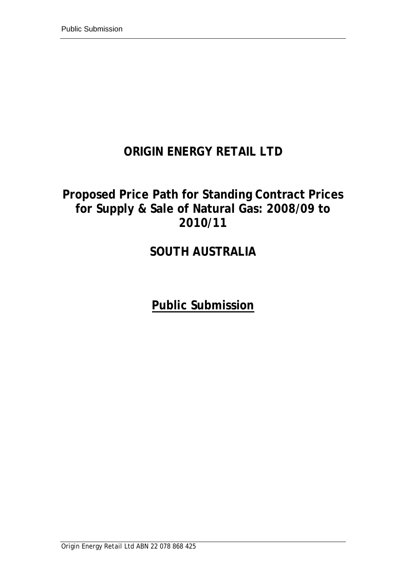# **ORIGIN ENERGY RETAIL LTD**

# **Proposed Price Path for Standing Contract Prices for Supply & Sale of Natural Gas: 2008/09 to 2010/11**

# **SOUTH AUSTRALIA**

**Public Submission**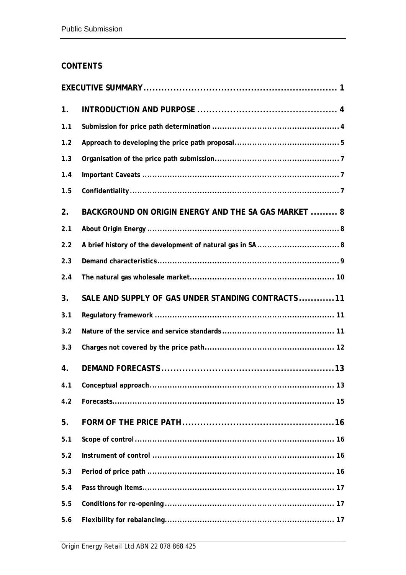## **CONTENTS**

| 1.  |                                                      |
|-----|------------------------------------------------------|
| 1.1 |                                                      |
| 1.2 |                                                      |
| 1.3 |                                                      |
| 1.4 |                                                      |
| 1.5 |                                                      |
| 2.  | BACKGROUND ON ORIGIN ENERGY AND THE SA GAS MARKET  8 |
| 2.1 |                                                      |
| 2.2 |                                                      |
| 2.3 |                                                      |
| 2.4 |                                                      |
| 3.  | SALE AND SUPPLY OF GAS UNDER STANDING CONTRACTS11    |
| 3.1 |                                                      |
| 3.2 |                                                      |
| 3.3 |                                                      |
| 4.  |                                                      |
| 4.1 |                                                      |
| 4.2 |                                                      |
| 5.  |                                                      |
| 5.1 |                                                      |
| 5.2 |                                                      |
| 5.3 |                                                      |
| 5.4 |                                                      |
| 5.5 |                                                      |
| 5.6 |                                                      |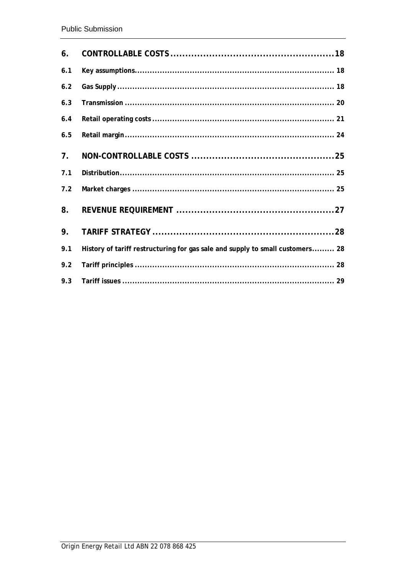| 6.             |                                                                               |  |
|----------------|-------------------------------------------------------------------------------|--|
| 6.1            |                                                                               |  |
| 6.2            |                                                                               |  |
| 6.3            |                                                                               |  |
| 6.4            |                                                                               |  |
| 6.5            |                                                                               |  |
| 7 <sub>1</sub> |                                                                               |  |
| 7.1            |                                                                               |  |
| 7.2            |                                                                               |  |
| 8.             |                                                                               |  |
| 9.             |                                                                               |  |
| 9.1            | History of tariff restructuring for gas sale and supply to small customers 28 |  |
| 9.2            |                                                                               |  |
| 9.3            |                                                                               |  |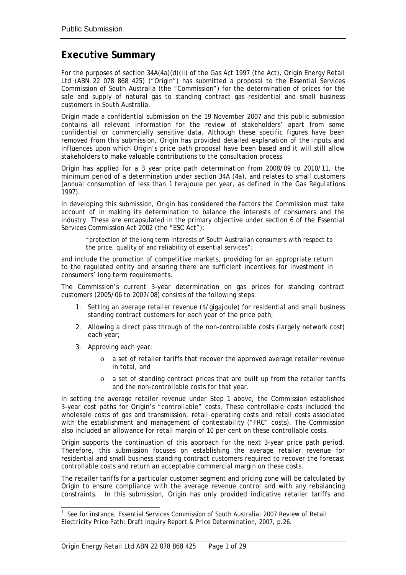## <span id="page-3-0"></span>**Executive Summary**

For the purposes of section 34A(4a)(d)(ii) of the *Gas Act 1997* (the Act), Origin Energy Retail Ltd (ABN 22 078 868 425) ("Origin") has submitted a proposal to the Essential Services Commission of South Australia (the "Commission") for the determination of prices for the sale and supply of natural gas to standing contract gas residential and small business customers in South Australia.

Origin made a confidential submission on the 19 November 2007 and this public submission contains all relevant information for the review of stakeholders' apart from some confidential or commercially sensitive data. Although these specific figures have been removed from this submission, Origin has provided detailed explanation of the inputs and influences upon which Origin's price path proposal have been based and it will still allow stakeholders to make valuable contributions to the consultation process.

Origin has applied for a 3 year price path determination from 2008/09 to 2010/11, the minimum period of a determination under section 34A (4a), and relates to small customers (annual consumption of less than 1 terajoule per year, as defined in the *Gas Regulations 1997*).

In developing this submission, Origin has considered the factors the Commission must take account of in making its determination to balance the interests of consumers and the industry. These are encapsulated in the primary objective under section 6 of the *Essential Services Commission* Act 2002 (the "ESC Act"):

"protection of the long term interests of South Australian consumers with respect to the price, quality of and reliability of essential services";

and include the promotion of competitive markets, providing for an appropriate return to the regulated entity and ensuring there are sufficient incentives for investment in consumers' long term requirements.

The Commission's current 3-year determination on gas prices for standing contract customers (2005/06 to 2007/08) consists of the following steps:

- 1. Setting an average retailer revenue (\$/gigajoule) for residential and small business standing contract customers for each year of the price path;
- 2. Allowing a direct pass through of the non-controllable costs (largely network cost) each year;
- 3. Approving each year:
	- o a set of retailer tariffs that recover the approved average retailer revenue in total, and
	- o a set of standing contract prices that are built up from the retailer tariffs and the non-controllable costs for that year.

In setting the average retailer revenue under Step 1 above, the Commission established 3-year cost paths for Origin's "controllable" costs. These controllable costs included the wholesale costs of gas and transmission, retail operating costs and retail costs associated with the establishment and management of contestability ("FRC" costs). The Commission also included an allowance for retail margin of 10 per cent on these controllable costs.

Origin supports the continuation of this approach for the next 3-year price path period. Therefore, this submission focuses on establishing the average retailer revenue for residential and small business standing contract customers required to recover the forecast controllable costs and return an acceptable commercial margin on these costs.

The retailer tariffs for a particular customer segment and pricing zone will be calculated by Origin to ensure compliance with the average revenue control and with any rebalancing constraints. In this submission, Origin has only provided indicative retailer tariffs and

 $\frac{1}{1}$  See for instance, Essential Services Commission of South Australia; *2007 Review of Retail Electricity Price Path: Draft Inquiry Report & Price Determination*, 2007, p.26.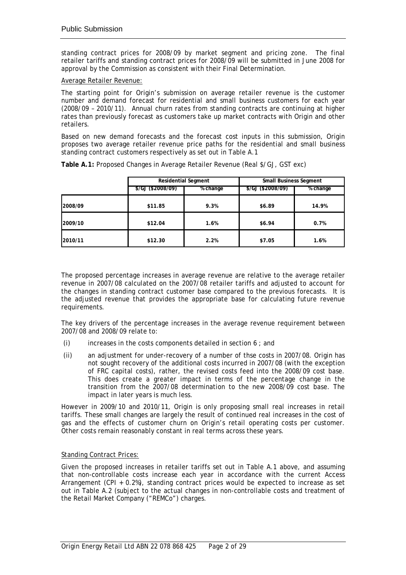standing contract prices for 2008/09 by market segment and pricing zone. The final retailer tariffs and standing contract prices for 2008/09 will be submitted in June 2008 for approval by the Commission as consistent with their Final Determination.

#### Average Retailer Revenue:

The starting point for Origin's submission on average retailer revenue is the customer number and demand forecast for residential and small business customers for each year (2008/09 – 2010/11). Annual churn rates from standing contracts are continuing at higher rates than previously forecast as customers take up market contracts with Origin and other retailers.

Based on new demand forecasts and the forecast cost inputs in this submission, Origin proposes two average retailer revenue price paths for the residential and small business standing contract customers respectively as set out in Table A.1

|         | <b>Residential Segment</b> |          | <b>Small Business Segment</b> |          |
|---------|----------------------------|----------|-------------------------------|----------|
|         | $\frac{$}{GJ}$ (\$2008/09) | % change | \$/GJ (\$2008/09)             | % change |
| 2008/09 | \$11.85                    | 9.3%     | \$6.89                        | 14.9%    |
| 2009/10 | \$12.04                    | 1.6%     | \$6.94                        | 0.7%     |
| 2010/11 | \$12.30                    | 2.2%     | \$7.05                        | 1.6%     |

**Table A.1:** Proposed Changes in Average Retailer Revenue (Real \$/GJ, GST exc)

The proposed percentage increases in average revenue are relative to the average retailer revenue in 2007/08 calculated on the 2007/08 retailer tariffs and adjusted to account for the changes in standing contract customer base compared to the previous forecasts. It is the adjusted revenue that provides the appropriate base for calculating future revenue requirements.

The key drivers of the percentage increases in the average revenue requirement between 2007/08 and 2008/09 relate to:

- (i) increases in the costs components detailed in section  $6$  ; and
- (ii) an adjustment for under-recovery of a number of thse costs in 2007/08. Origin has not sought recovery of the additional costs incurred in 2007/08 (with the exception of FRC capital costs), rather, the revised costs feed into the 2008/09 cost base. This does create a greater impact in terms of the percentage change in the transition from the 2007/08 determination to the new 2008/09 cost base. The impact in later years is much less.

However in 2009/10 and 2010/11, Origin is only proposing small real increases in retail tariffs. These small changes are largely the result of continued real increases in the cost of gas and the effects of customer churn on Origin's retail operating costs per customer. Other costs remain reasonably constant in real terms across these years.

#### Standing Contract Prices:

Given the proposed increases in retailer tariffs set out in Table A.1 above, and assuming that non-controllable costs increase each year in accordance with the current Access Arrangement (CPI + 0.2%), standing contract prices would be expected to increase as set out in Table A.2 (subject to the actual changes in non-controllable costs and treatment of the Retail Market Company ("REMCo") charges.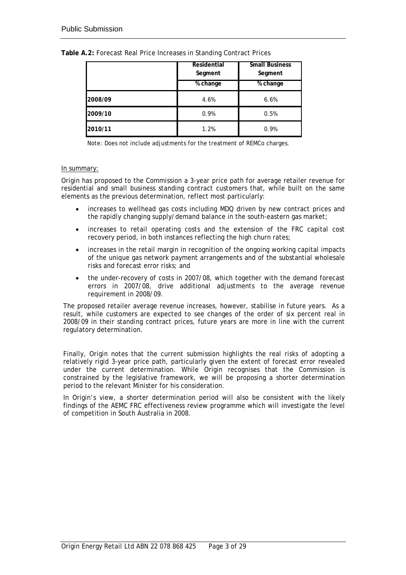|         | Residential<br>Segment | <b>Small Business</b><br>Segment |
|---------|------------------------|----------------------------------|
|         | % change               | % change                         |
| 2008/09 | 4.6%                   | 6.6%                             |
| 2009/10 | 0.9%                   | 0.5%                             |
| 2010/11 | 1.2%                   | 0.9%                             |

**Table A.2:** Forecast Real Price Increases in Standing Contract Prices

Note: Does not include adjustments for the treatment of REMCo charges.

#### In summary:

Origin has proposed to the Commission a 3-year price path for average retailer revenue for residential and small business standing contract customers that, while built on the same elements as the previous determination, reflect most particularly:

- increases to wellhead gas costs including MDQ driven by new contract prices and the rapidly changing supply/demand balance in the south-eastern gas market;
- increases to retail operating costs and the extension of the FRC capital cost recovery period, in both instances reflecting the high churn rates;
- increases in the retail margin in recognition of the ongoing working capital impacts of the unique gas network payment arrangements and of the substantial wholesale risks and forecast error risks; and
- the under-recovery of costs in 2007/08, which together with the demand forecast errors in 2007/08, drive additional adjustments to the average revenue requirement in 2008/09.

The proposed retailer average revenue increases, however, stabilise in future years. As a result, while customers are expected to see changes of the order of six percent real in 2008/09 in their standing contract prices, future years are more in line with the current regulatory determination.

Finally, Origin notes that the current submission highlights the real risks of adopting a relatively rigid 3-year price path, particularly given the extent of forecast error revealed under the current determination. While Origin recognises that the Commission is constrained by the legislative framework, we will be proposing a shorter determination period to the relevant Minister for his consideration.

In Origin's view, a shorter determination period will also be consistent with the likely findings of the AEMC FRC effectiveness review programme which will investigate the level of competition in South Australia in 2008.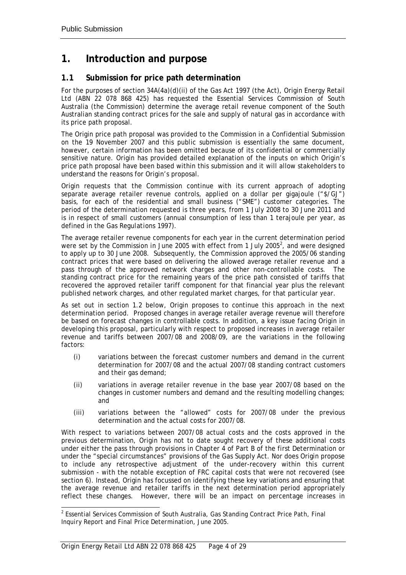## <span id="page-6-0"></span>**1. Introduction and purpose**

## **1.1 Submission for price path determination**

For the purposes of section 34A(4a)(d)(ii) of the *Gas Act 1997* (the Act), Origin Energy Retail Ltd (ABN 22 078 868 425) has requested the Essential Services Commission of South Australia (the Commission) determine the average retail revenue component of the South Australian standing contract prices for the sale and supply of natural gas in accordance with its price path proposal.

The Origin price path proposal was provided to the Commission in a Confidential Submission on the 19 November 2007 and this public submission is essentially the same document, however, certain information has been omitted because of its confidential or commercially sensitive nature. Origin has provided detailed explanation of the inputs on which Origin's price path proposal have been based within this submission and it will allow stakeholders to understand the reasons for Origin's proposal.

Origin requests that the Commission continue with its current approach of adopting separate average retailer revenue controls, applied on a dollar per gigajoule ("\$/GJ") basis, for each of the residential and small business ("SME") customer categories. The period of the determination requested is three years, from 1 July 2008 to 30 June 2011 and is in respect of small customers (annual consumption of less than 1 terajoule per year, as defined in the *Gas Regulations 1997*).

The average retailer revenue components for each year in the current determination period were set by the Commission in June 2005 with effect from 1 July 2005<sup>2</sup>[,](#page-6-1) and were designed to apply up to 30 June 2008. Subsequently, the Commission approved the 2005/06 standing contract prices that were based on delivering the allowed average retailer revenue and a pass through of the approved network charges and other non-controllable costs. The standing contract price for the remaining years of the price path consisted of tariffs that recovered the approved retailer tariff component for that financial year plus the relevant published network charges, and other regulated market charges, for that particular year.

As set out in section 1.2 below, Origin proposes to continue this approach in the next determination period. Proposed changes in average retailer average revenue will therefore be based on forecast changes in controllable costs. In addition, a key issue facing Origin in developing this proposal, particularly with respect to proposed increases in average retailer revenue and tariffs between 2007/08 and 2008/09, are the variations in the following factors:

- (i) variations between the forecast customer numbers and demand in the current determination for 2007/08 and the actual 2007/08 standing contract customers and their gas demand;
- (ii) variations in average retailer revenue in the base year 2007/08 based on the changes in customer numbers and demand and the resulting modelling changes; and
- (iii) variations between the "allowed" costs for 2007/08 under the previous determination and the actual costs for 2007/08.

With respect to variations between 2007/08 actual costs and the costs approved in the previous determination, Origin has not to date sought recovery of these additional costs under either the pass through provisions in Chapter 4 of Part B of the first Determination or under the "special circumstances" provisions of the Gas Supply Act. Nor does Origin propose to include any retrospective adjustment of the under-recovery within this current submission - with the notable exception of FRC capital costs that were not recovered (see section 6). Instead, Origin has focussed on identifying these key variations and ensuring that the average revenue and retailer tariffs in the next determination period appropriately reflect these changes. However, there will be an impact on percentage increases in

<span id="page-6-1"></span> $\frac{1}{2}$  Essential Services Commission of South Australia, *Gas Standing Contract Price Path, Final Inquiry Report and Final Price Determination,* June 2005.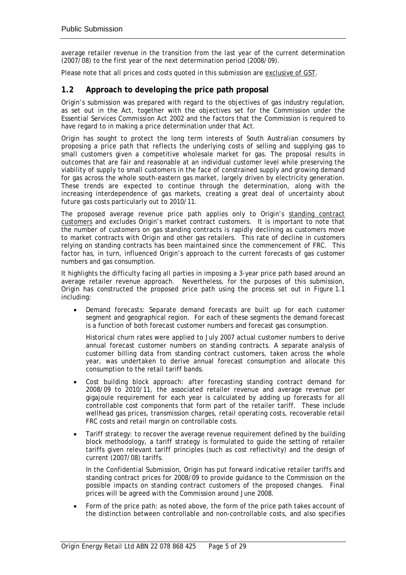<span id="page-7-0"></span>average retailer revenue in the transition from the last year of the current determination (2007/08) to the first year of the next determination period (2008/09).

Please note that all prices and costs quoted in this submission are exclusive of GST.

## **1.2 Approach to developing the price path proposal**

Origin's submission was prepared with regard to the objectives of gas industry regulation, as set out in the Act, together with the objectives set for the Commission under the *Essential Services Commission Act* 2002 and the factors that the Commission is required to have regard to in making a price determination under that Act.

Origin has sought to protect the long term interests of South Australian consumers by proposing a price path that reflects the underlying costs of selling and supplying gas to small customers given a competitive wholesale market for gas. The proposal results in outcomes that are fair and reasonable at an individual customer level while preserving the viability of supply to small customers in the face of constrained supply and growing demand for gas across the whole south-eastern gas market, largely driven by electricity generation. These trends are expected to continue through the determination, along with the increasing interdependence of gas markets, creating a great deal of uncertainty about future gas costs particularly out to 2010/11.

The proposed average revenue price path applies only to Origin's standing contract customers and excludes Origin's market contract customers. It is important to note that the number of customers on gas standing contracts is rapidly declining as customers move to market contracts with Origin and other gas retailers. This rate of decline in customers relying on standing contracts has been maintained since the commencement of FRC. This factor has, in turn, influenced Origin's approach to the current forecasts of gas customer numbers and gas consumption.

It highlights the difficulty facing all parties in imposing a 3-year price path based around an average retailer revenue approach. Nevertheless, for the purposes of this submission, Origin has constructed the proposed price path using the process set out in Figure 1.1 including:

• Demand forecasts: Separate demand forecasts are built up for each customer segment and geographical region. For each of these segments the demand forecast is a function of both forecast customer numbers and forecast gas consumption.

Historical churn rates were applied to July 2007 actual customer numbers to derive annual forecast customer numbers on standing contracts. A separate analysis of customer billing data from standing contract customers, taken across the whole year, was undertaken to derive annual forecast consumption and allocate this consumption to the retail tariff bands.

- Cost building block approach: after forecasting standing contract demand for 2008/09 to 2010/11, the associated retailer revenue and average revenue per gigajoule requirement for each year is calculated by adding up forecasts for all controllable cost components that form part of the retailer tariff. These include wellhead gas prices, transmission charges, retail operating costs, recoverable retail FRC costs and retail margin on controllable costs.
- Tariff strategy: to recover the average revenue requirement defined by the building block methodology, a tariff strategy is formulated to guide the setting of retailer tariffs given relevant tariff principles (such as cost reflectivity) and the design of current (2007/08) tariffs.

In the Confidential Submission, Origin has put forward indicative retailer tariffs and standing contract prices for 2008/09 to provide guidance to the Commission on the possible impacts on standing contract customers of the proposed changes. Final prices will be agreed with the Commission around June 2008.

• Form of the price path: as noted above, the form of the price path takes account of the distinction between controllable and non-controllable costs, and also specifies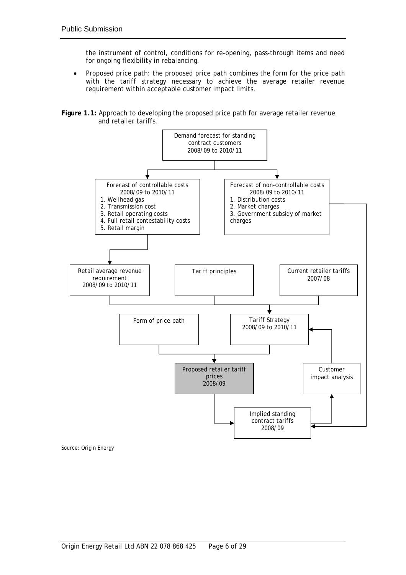the instrument of control, conditions for re-opening, pass-through items and need for ongoing flexibility in rebalancing.

• Proposed price path: the proposed price path combines the form for the price path with the tariff strategy necessary to achieve the average retailer revenue requirement within acceptable customer impact limits.

**Figure 1.1:** Approach to developing the proposed price path for average retailer revenue and retailer tariffs.



Source: Origin Energy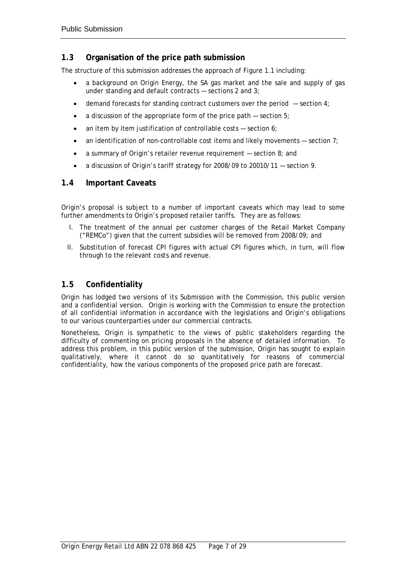## <span id="page-9-0"></span>**1.3 Organisation of the price path submission**

The structure of this submission addresses the approach of Figure 1.1 including:

- a background on Origin Energy, the SA gas market and the sale and supply of gas under standing and default contracts — sections 2 and 3;
- demand forecasts for standing contract customers over the period  $-$  section 4;
- a discussion of the appropriate form of the price path  $-$  section 5;
- an item by item justification of controllable costs  $-$  section 6;
- an identification of non-controllable cost items and likely movements  $-$  section 7;
- a summary of Origin's retailer revenue requirement  $-$  section 8; and
- a discussion of Origin's tariff strategy for 2008/09 to 20010/11 section 9.

### **1.4 Important Caveats**

Origin's proposal is subject to a number of important caveats which may lead to some further amendments to Origin's proposed retailer tariffs. They are as follows:

- I. The treatment of the annual per customer charges of the Retail Market Company ("REMCo") given that the current subsidies will be removed from 2008/09; and
- II. Substitution of forecast CPI figures with actual CPI figures which, in turn, will flow through to the relevant costs and revenue.

## **1.5 Confidentiality**

Origin has lodged two versions of its Submission with the Commission, this public version and a confidential version. Origin is working with the Commission to ensure the protection of all confidential information in accordance with the legislations and Origin's obligations to our various counterparties under our commercial contracts.

Nonetheless, Origin is sympathetic to the views of public stakeholders regarding the difficulty of commenting on pricing proposals in the absence of detailed information. To address this problem, in this public version of the submission, Origin has sought to explain qualitatively, where it cannot do so quantitatively for reasons of commercial confidentiality, how the various components of the proposed price path are forecast.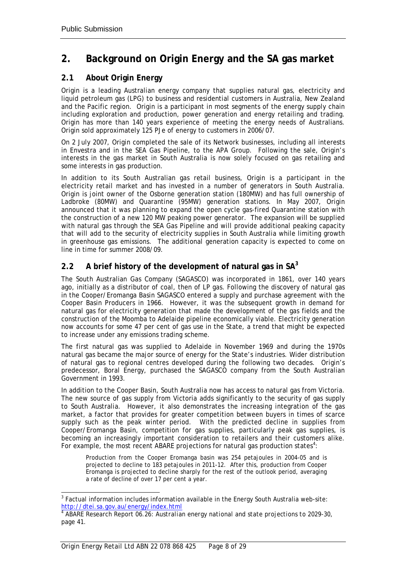## <span id="page-10-0"></span>**2. Background on Origin Energy and the SA gas market**

## **2.1 About Origin Energy**

Origin is a leading Australian energy company that supplies natural gas, electricity and liquid petroleum gas (LPG) to business and residential customers in Australia, New Zealand and the Pacific region. Origin is a participant in most segments of the energy supply chain including exploration and production, power generation and energy retailing and trading. Origin has more than 140 years experience of meeting the energy needs of Australians. Origin sold approximately 125 PJe of energy to customers in 2006/07.

On 2 July 2007, Origin completed the sale of its Network businesses, including all interests in Envestra and in the SEA Gas Pipeline, to the APA Group. Following the sale, Origin's interests in the gas market in South Australia is now solely focused on gas retailing and some interests in gas production.

In addition to its South Australian gas retail business, Origin is a participant in the electricity retail market and has invested in a number of generators in South Australia. Origin is joint owner of the Osborne generation station (180MW) and has full ownership of Ladbroke (80MW) and Quarantine (95MW) generation stations. In May 2007, Origin announced that it was planning to expand the open cycle gas-fired Quarantine station with the construction of a new 120 MW peaking power generator. The expansion will be supplied with natural gas through the SEA Gas Pipeline and will provide additional peaking capacity that will add to the security of electricity supplies in South Australia while limiting growth in greenhouse gas emissions. The additional generation capacity is expected to come on line in time for summer 2008/09.

## **2.2 A brief history of the development of natural gas in SA[3](#page-10-1)**

The South Australian Gas Company (SAGASCO) was incorporated in 1861, over 140 years ago, initially as a distributor of coal, then of LP gas. Following the discovery of natural gas in the Cooper/Eromanga Basin SAGASCO entered a supply and purchase agreement with the Cooper Basin Producers in 1966. However, it was the subsequent growth in demand for natural gas for electricity generation that made the development of the gas fields and the construction of the Moomba to Adelaide pipeline economically viable. Electricity generation now accounts for some 47 per cent of gas use in the State, a trend that might be expected to increase under any emissions trading scheme.

The first natural gas was supplied to Adelaide in November 1969 and during the 1970s natural gas became the major source of energy for the State's industries. Wider distribution of natural gas to regional centres developed during the following two decades. Origin's predecessor, Boral Energy, purchased the SAGASCO company from the South Australian Government in 1993.

In addition to the Cooper Basin, South Australia now has access to natural gas from Victoria. The new source of gas supply from Victoria adds significantly to the security of gas supply to South Australia. However, it also demonstrates the increasing integration of the gas market, a factor that provides for greater competition between buyers in times of scarce supply such as the peak winter period. With the predicted decline in supplies from Cooper/Eromanga Basin, competition for gas supplies, particularly peak gas supplies, is becoming an increasingly important consideration to retailers and their customers alike. For example, the most recent ABARE projections for natural gas production states<sup>4</sup>[:](#page-10-2)

Production from the Cooper Eromanga basin was 254 petajoules in 2004-05 and is projected to decline to 183 petajoules in 2011-12. After this, production from Cooper Eromanga is projected to decline sharply for the rest of the outlook period, averaging a rate of decline of over 17 per cent a year.

<span id="page-10-1"></span><sup>&</sup>lt;sup>2</sup><br>3 Factual information includes information available in the Energy South Australia web-site: <http://dtei.sa.gov.au/energy/index.html> <sup>4</sup>

<span id="page-10-2"></span><sup>&</sup>lt;sup>4</sup> ABARE Research Report 06.26: Aus*tralian energy national and state projections to 2029-30,* page 41.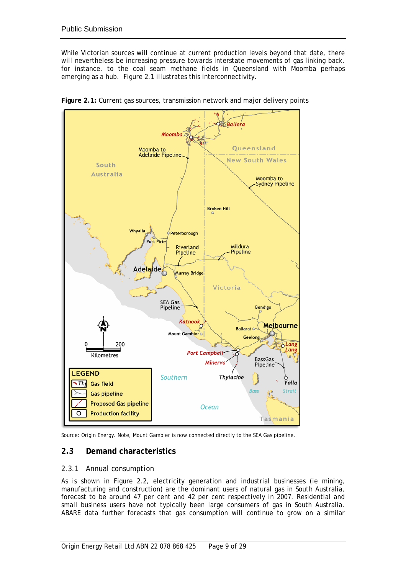<span id="page-11-0"></span>While Victorian sources will continue at current production levels beyond that date, there will nevertheless be increasing pressure towards interstate movements of gas linking back, for instance, to the coal seam methane fields in Queensland with Moomba perhaps emerging as a hub. Figure 2.1 illustrates this interconnectivity.



**Figure 2.1:** Current gas sources, transmission network and major delivery points

Source: Origin Energy. Note, Mount Gambier is now connected directly to the SEA Gas pipeline.

## **2.3 Demand characteristics**

### *2.3.1 Annual consumption*

As is shown in Figure 2.2, electricity generation and industrial businesses (ie mining, manufacturing and construction) are the dominant users of natural gas in South Australia, forecast to be around 47 per cent and 42 per cent respectively in 2007. Residential and small business users have not typically been large consumers of gas in South Australia. ABARE data further forecasts that gas consumption will continue to grow on a similar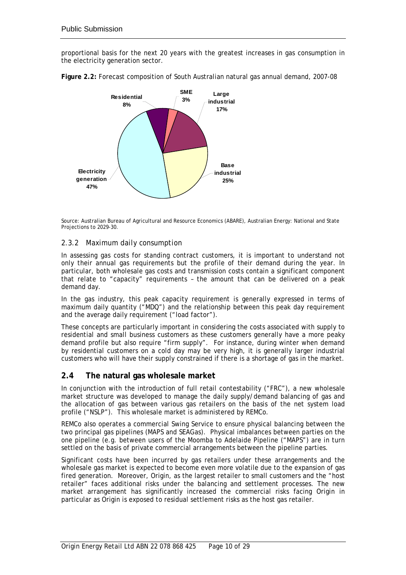<span id="page-12-0"></span>proportional basis for the next 20 years with the greatest increases in gas consumption in the electricity generation sector.



**Figure 2.2:** Forecast composition of South Australian natural gas annual demand, 2007-08

#### *2.3.2 Maximum daily consumption*

In assessing gas costs for standing contract customers, it is important to understand not only their annual gas requirements but the profile of their demand during the year. In particular, both wholesale gas costs and transmission costs contain a significant component that relate to "capacity" requirements – the amount that can be delivered on a peak demand day.

In the gas industry, this peak capacity requirement is generally expressed in terms of maximum daily quantity ("MDQ") and the relationship between this peak day requirement and the average daily requirement ("load factor").

These concepts are particularly important in considering the costs associated with supply to residential and small business customers as these customers generally have a more peaky demand profile but also require "firm supply". For instance, during winter when demand by residential customers on a cold day may be very high, it is generally larger industrial customers who will have their supply constrained if there is a shortage of gas in the market.

### **2.4 The natural gas wholesale market**

In conjunction with the introduction of full retail contestability ("FRC"), a new wholesale market structure was developed to manage the daily supply/demand balancing of gas and the allocation of gas between various gas retailers on the basis of the net system load profile ("NSLP"). This wholesale market is administered by REMCo.

REMCo also operates a commercial Swing Service to ensure physical balancing between the two principal gas pipelines (MAPS and SEAGas). Physical imbalances between parties on the one pipeline (e.g. between users of the Moomba to Adelaide Pipeline ("MAPS") are in turn settled on the basis of private commercial arrangements between the pipeline parties.

Significant costs have been incurred by gas retailers under these arrangements and the wholesale gas market is expected to become even more volatile due to the expansion of gas fired generation. Moreover, Origin, as the largest retailer to small customers and the "host retailer" faces additional risks under the balancing and settlement processes. The new market arrangement has significantly increased the commercial risks facing Origin in particular as Origin is exposed to residual settlement risks as the host gas retailer.

Source: Australian Bureau of Agricultural and Resource Economics (ABARE), Australian Energy: National and State Projections to 2029-30.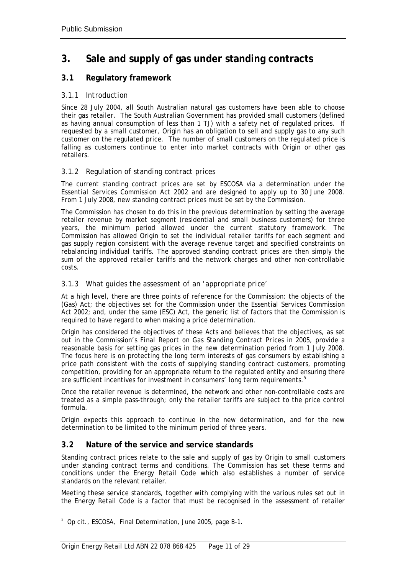## <span id="page-13-0"></span>**3. Sale and supply of gas under standing contracts**

## **3.1 Regulatory framework**

### *3.1.1 Introduction*

Since 28 July 2004, all South Australian natural gas customers have been able to choose their gas retailer. The South Australian Government has provided small customers (defined as having annual consumption of less than 1 TJ) with a safety net of regulated prices. If requested by a small customer, Origin has an obligation to sell and supply gas to any such customer on the regulated price. The number of small customers on the regulated price is falling as customers continue to enter into market contracts with Origin or other gas retailers.

### *3.1.2 Regulation of standing contract prices*

The current standing contract prices are set by ESCOSA via a determination under the *Essential Services Commission Act* 2002 and are designed to apply up to 30 June 2008. From 1 July 2008, new standing contract prices must be set by the Commission.

The Commission has chosen to do this in the previous determination by setting the average retailer revenue by market segment (residential and small business customers) for three years, the minimum period allowed under the current statutory framework. The Commission has allowed Origin to set the individual retailer tariffs for each segment and gas supply region consistent with the average revenue target and specified constraints on rebalancing individual tariffs. The approved standing contract prices are then simply the sum of the approved retailer tariffs and the network charges and other non-controllable costs.

### *3.1.3 What guides the assessment of an 'appropriate price'*

At a high level, there are three points of reference for the Commission: the objects of the (Gas) Act; the objectives set for the Commission under the *Essential Services Commission* Act 2002; and, under the same (ESC) Act, the generic list of factors that the Commission is required to have regard to when making a price determination.

Origin has considered the objectives of these Acts and believes that the objectives, as set out in the Commission's *Final Report on Gas Standing Contract Prices* in 2005, provide a reasonable basis for setting gas prices in the new determination period from 1 July 2008. The focus here is on protecting the long term interests of gas consumers by establishing a price path consistent with the costs of supplying standing contract customers, promoting competition, providing for an appropriate return to the regulated entity and ensuring there are sufficient incentives for investment in consumers' long term requirements.<sup>5</sup>

Once the retailer revenue is determined, the network and other non-controllable costs are treated as a simple pass-through; only the retailer tariffs are subject to the price control formula.

Origin expects this approach to continue in the new determination, and for the new determination to be limited to the minimum period of three years.

## **3.2 Nature of the service and service standards**

Standing contract prices relate to the sale and supply of gas by Origin to small customers under standing contract terms and conditions. The Commission has set these terms and conditions under the Energy Retail Code which also establishes a number of service standards on the relevant retailer.

Meeting these service standards, together with complying with the various rules set out in the Energy Retail Code is a factor that must be recognised in the assessment of retailer

<span id="page-13-1"></span> <sup>5</sup> <sup>5</sup> Op cit., ESCOSA, Final Determination, June 2005, page B-1.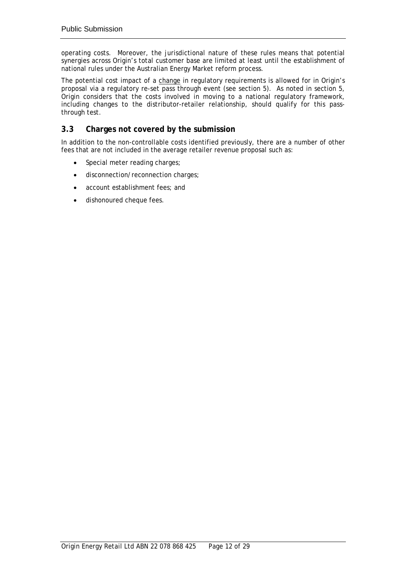<span id="page-14-0"></span>operating costs. Moreover, the jurisdictional nature of these rules means that potential synergies across Origin's total customer base are limited at least until the establishment of national rules under the Australian Energy Market reform process.

The potential cost impact of a change in regulatory requirements is allowed for in Origin's proposal via a regulatory re-set pass through event (see section 5). As noted in section 5, Origin considers that the costs involved in moving to a national regulatory framework, including changes to the distributor-retailer relationship, should qualify for this passthrough test.

## **3.3 Charges not covered by the submission**

In addition to the non-controllable costs identified previously, there are a number of other fees that are not included in the average retailer revenue proposal such as:

- Special meter reading charges;
- disconnection/reconnection charges;
- account establishment fees; and
- dishonoured cheque fees.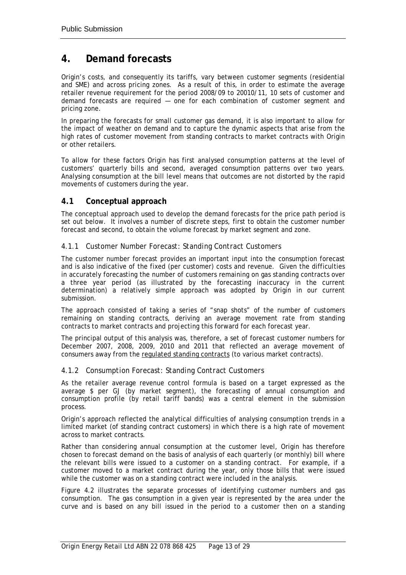## <span id="page-15-0"></span>**4. Demand forecasts**

Origin's costs, and consequently its tariffs, vary between customer segments (residential and SME) and across pricing zones. As a result of this, in order to estimate the average retailer revenue requirement for the period 2008/09 to 20010/11, 10 sets of customer and demand forecasts are required — one for each combination of customer segment and pricing zone.

In preparing the forecasts for small customer gas demand, it is also important to allow for the impact of weather on demand and to capture the dynamic aspects that arise from the high rates of customer movement from standing contracts to market contracts with Origin or other retailers.

To allow for these factors Origin has first analysed consumption patterns at the level of customers' quarterly bills and second, averaged consumption patterns over two years. Analysing consumption at the bill level means that outcomes are not distorted by the rapid movements of customers during the year.

### **4.1 Conceptual approach**

The conceptual approach used to develop the demand forecasts for the price path period is set out below. It involves a number of discrete steps, first to obtain the customer number forecast and second, to obtain the volume forecast by market segment and zone.

#### *4.1.1 Customer Number Forecast: Standing Contract Customers*

The customer number forecast provides an important input into the consumption forecast and is also indicative of the fixed (per customer) costs and revenue. Given the difficulties in accurately forecasting the number of customers remaining on gas standing contracts over a three year period (as illustrated by the forecasting inaccuracy in the current determination) a relatively simple approach was adopted by Origin in our current submission.

The approach consisted of taking a series of "snap shots" of the number of customers remaining on standing contracts, deriving an average movement rate from standing contracts to market contracts and projecting this forward for each forecast year.

The principal output of this analysis was, therefore, a set of forecast customer numbers for December 2007, 2008, 2009, 2010 and 2011 that reflected an average movement of consumers away from the regulated standing contracts (to various market contracts).

### *4.1.2 Consumption Forecast: Standing Contract Customers*

As the retailer average revenue control formula is based on a target expressed as the average \$ per GJ (by market segment), the forecasting of annual consumption and consumption profile (by retail tariff bands) was a central element in the submission process.

Origin's approach reflected the analytical difficulties of analysing consumption trends in a limited market (of standing contract customers) in which there is a high rate of movement across to market contracts.

Rather than considering annual consumption at the customer level, Origin has therefore chosen to forecast demand on the basis of analysis of each quarterly (or monthly) bill where the relevant bills were issued to a customer on a standing contract. For example, if a customer moved to a market contract during the year, only those bills that were issued while the customer was on a standing contract were included in the analysis.

Figure 4.2 illustrates the separate processes of identifying customer numbers and gas consumption. The gas consumption in a given year is represented by the area under the curve and is based on any bill issued in the period to a customer then on a standing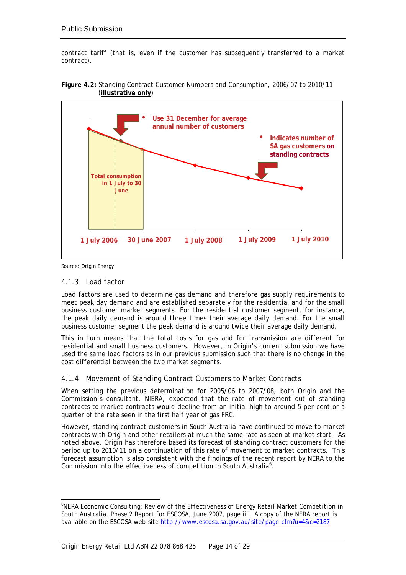contract tariff (that is, even if the customer has subsequently transferred to a market contract).



**Figure 4.2:** Standing Contract Customer Numbers and Consumption, 2006/07 to 2010/11 (**illustrative only**)

Source: Origin Energy

#### *4.1.3 Load factor*

Load factors are used to determine gas demand and therefore gas supply requirements to meet peak day demand and are established separately for the residential and for the small business customer market segments. For the residential customer segment, for instance, the peak daily demand is around three times their average daily demand. For the small business customer segment the peak demand is around twice their average daily demand.

This in turn means that the total costs for gas and for transmission are different for residential and small business customers. However, in Origin's current submission we have used the same load factors as in our previous submission such that there is no change in the cost differential between the two market segments.

### *4.1.4 Movement of Standing Contract Customers to Market Contracts*

When setting the previous determination for 2005/06 to 2007/08, both Origin and the Commission's consultant, NIERA, expected that the rate of movement out of standing contracts to market contracts would decline from an initial high to around 5 per cent or a quarter of the rate seen in the first half year of gas FRC.

However, standing contract customers in South Australia have continued to move to market contracts with Origin and other retailers at much the same rate as seen at market start. As noted above, Origin has therefore based its forecast of standing contract customers for the period up to 2010/11 on a continuation of this rate of movement to market contracts. This forecast assumption is also consistent with the findings of the recent report by NERA to the Commission into the effectiveness of competition in South Australia<sup>6</sup>[.](#page-16-0)

<span id="page-16-0"></span> <sup>6</sup> <sup>6</sup>NERA Economic Consulting: *Review of the Effectiveness of Energy Retail Market Competition in South Australia. Phase 2 Report for ESCOSA,* June 2007, page iii. A copy of the NERA report is available on the ESCOSA web-site<http://www.escosa.sa.gov.au/site/page.cfm?u=4&c=2187>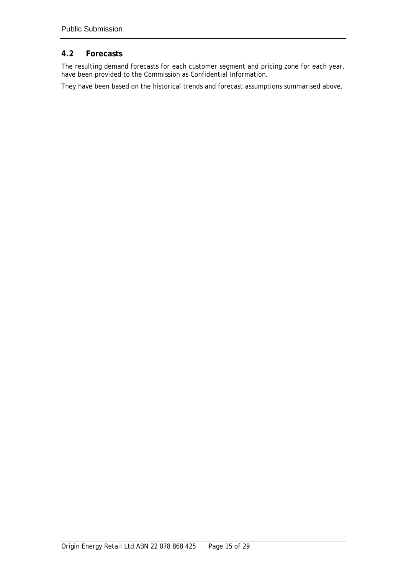## <span id="page-17-0"></span>**4.2 Forecasts**

The resulting demand forecasts for each customer segment and pricing zone for each year, have been provided to the Commission as Confidential Information.

They have been based on the historical trends and forecast assumptions summarised above.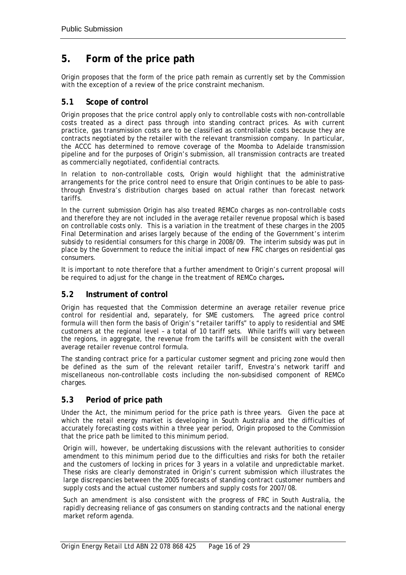## <span id="page-18-0"></span>**5. Form of the price path**

Origin proposes that the form of the price path remain as currently set by the Commission with the exception of a review of the price constraint mechanism.

## **5.1 Scope of control**

Origin proposes that the price control apply only to controllable costs with non-controllable costs treated as a direct pass through into standing contract prices. As with current practice, gas transmission costs are to be classified as controllable costs because they are contracts negotiated by the retailer with the relevant transmission company. In particular, the ACCC has determined to remove coverage of the Moomba to Adelaide transmission pipeline and for the purposes of Origin's submission, all transmission contracts are treated as commercially negotiated, confidential contracts.

In relation to non-controllable costs, Origin would highlight that the administrative arrangements for the price control need to ensure that Origin continues to be able to passthrough Envestra's distribution charges based on actual rather than forecast network tariffs.

In the current submission Origin has also treated REMCo charges as non-controllable costs and therefore they are not included in the average retailer revenue proposal which is based on controllable costs only. This is a variation in the treatment of these charges in the 2005 Final Determination and arises largely because of the ending of the Government's interim subsidy to residential consumers for this charge in 2008/09. The interim subsidy was put in place by the Government to reduce the initial impact of new FRC charges on residential gas consumers.

It is important to note therefore that a further amendment to Origin's current proposal will be required to adjust for the change in the treatment of REMCo charges**.** 

## **5.2 Instrument of control**

Origin has requested that the Commission determine an average retailer revenue price control for residential and, separately, for SME customers. The agreed price control formula will then form the basis of Origin's "retailer tariffs" to apply to residential and SME customers at the regional level – a total of 10 tariff sets. While tariffs will vary between the regions, in aggregate, the revenue from the tariffs will be consistent with the overall average retailer revenue control formula.

The standing contract price for a particular customer segment and pricing zone would then be defined as the sum of the relevant retailer tariff, Envestra's network tariff and miscellaneous non-controllable costs including the non-subsidised component of REMCo charges.

## **5.3 Period of price path**

Under the Act, the minimum period for the price path is three years. Given the pace at which the retail energy market is developing in South Australia and the difficulties of accurately forecasting costs within a three year period, Origin proposed to the Commission that the price path be limited to this minimum period.

Origin will, however, be undertaking discussions with the relevant authorities to consider amendment to this minimum period due to the difficulties and risks for both the retailer and the customers of locking in prices for 3 years in a volatile and unpredictable market. These risks are clearly demonstrated in Origin's current submission which illustrates the large discrepancies between the 2005 forecasts of standing contract customer numbers and supply costs and the actual customer numbers and supply costs for 2007/08.

Such an amendment is also consistent with the progress of FRC in South Australia, the rapidly decreasing reliance of gas consumers on standing contracts and the national energy market reform agenda.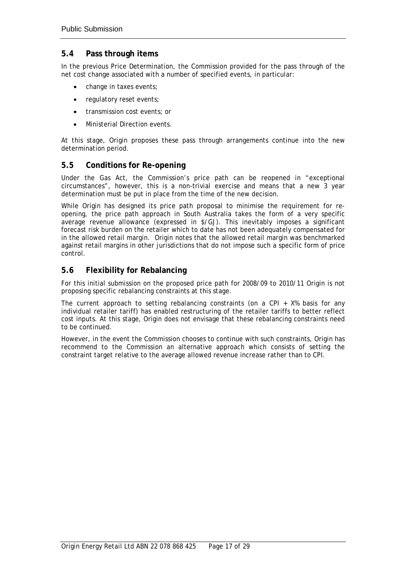### <span id="page-19-0"></span>**5.4 Pass through items**

In the previous Price Determination, the Commission provided for the pass through of the net cost change associated with a number of specified events, in particular:

- change in taxes events;
- regulatory reset events;
- transmission cost events; or
- Ministerial Direction events.

At this stage, Origin proposes these pass through arrangements continue into the new determination period.

### **5.5 Conditions for Re-opening**

Under the Gas Act, the Commission's price path can be reopened in "exceptional circumstances", however, this is a non-trivial exercise and means that a new 3 year determination must be put in place from the time of the new decision.

While Origin has designed its price path proposal to minimise the requirement for reopening, the price path approach in South Australia takes the form of a very specific average revenue allowance (expressed in \$/GJ). This inevitably imposes a significant forecast risk burden on the retailer which to date has not been adequately compensated for in the allowed retail margin. Origin notes that the allowed retail margin was benchmarked against retail margins in other jurisdictions that do not impose such a specific form of price control.

### **5.6 Flexibility for Rebalancing**

For this initial submission on the proposed price path for 2008/09 to 2010/11 Origin is not proposing specific rebalancing constraints at this stage.

The current approach to setting rebalancing constraints (on a CPI  $+$  X% basis for any individual retailer tariff) has enabled restructuring of the retailer tariffs to better reflect cost inputs. At this stage, Origin does not envisage that these rebalancing constraints need to be continued.

However, in the event the Commission chooses to continue with such constraints, Origin has recommend to the Commission an alternative approach which consists of setting the constraint target relative to the average allowed revenue increase rather than to CPI.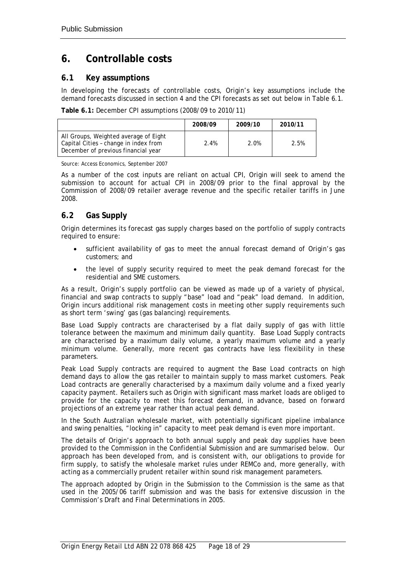## <span id="page-20-0"></span>**6. Controllable costs**

### **6.1 Key assumptions**

In developing the forecasts of controllable costs, Origin's key assumptions include the demand forecasts discussed in section 4 and the CPI forecasts as set out below in Table 6.1.

**Table 6.1:** December CPI assumptions (2008/09 to 2010/11)

|                                                                                                                       | 2008/09 | 2009/10 | 2010/11 |
|-----------------------------------------------------------------------------------------------------------------------|---------|---------|---------|
| All Groups, Weighted average of Eight<br>Capital Cities - change in index from<br>December of previous financial year | 2.4%    | 2.0%    | 2.5%    |

Source: Access Economics, September 2007

As a number of the cost inputs are reliant on actual CPI, Origin will seek to amend the submission to account for actual CPI in 2008/09 prior to the final approval by the Commission of 2008/09 retailer average revenue and the specific retailer tariffs in June 2008.

## **6.2 Gas Supply**

Origin determines its forecast gas supply charges based on the portfolio of supply contracts required to ensure:

- sufficient availability of gas to meet the annual forecast demand of Origin's gas customers; and
- the level of supply security required to meet the peak demand forecast for the residential and SME customers.

As a result, Origin's supply portfolio can be viewed as made up of a variety of physical, financial and swap contracts to supply "base" load and "peak" load demand. In addition, Origin incurs additional risk management costs in meeting other supply requirements such as short term 'swing' gas (gas balancing) requirements.

Base Load Supply contracts are characterised by a flat daily supply of gas with little tolerance between the maximum and minimum daily quantity. Base Load Supply contracts are characterised by a maximum daily volume, a yearly maximum volume and a yearly minimum volume. Generally, more recent gas contracts have less flexibility in these parameters.

Peak Load Supply contracts are required to augment the Base Load contracts on high demand days to allow the gas retailer to maintain supply to mass market customers. Peak Load contracts are generally characterised by a maximum daily volume and a fixed yearly capacity payment. Retailers such as Origin with significant mass market loads are obliged to provide for the capacity to meet this forecast demand, in advance, based on forward projections of an extreme year rather than actual peak demand.

In the South Australian wholesale market, with potentially significant pipeline imbalance and swing penalties, "locking in" capacity to meet peak demand is even more important.

The details of Origin's approach to both annual supply and peak day supplies have been provided to the Commission in the Confidential Submission and are summarised below. Our approach has been developed from, and is consistent with, our obligations to provide for firm supply, to satisfy the wholesale market rules under REMCo and, more generally, with acting as a commercially prudent retailer within sound risk management parameters.

The approach adopted by Origin in the Submission to the Commission is the same as that used in the 2005/06 tariff submission and was the basis for extensive discussion in the Commission's Draft and Final Determinations in 2005.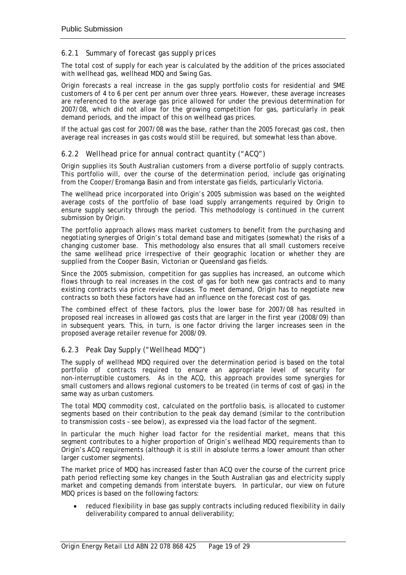### *6.2.1 Summary of forecast gas supply prices*

The total cost of supply for each year is calculated by the addition of the prices associated with wellhead gas, wellhead MDQ and Swing Gas.

Origin forecasts a real increase in the gas supply portfolio costs for residential and SME customers of 4 to 6 per cent per annum over three years. However, these average increases are referenced to the average gas price allowed for under the previous determination for 2007/08, which did not allow for the growing competition for gas, particularly in peak demand periods, and the impact of this on wellhead gas prices.

If the actual gas cost for 2007/08 was the base, rather than the 2005 forecast gas cost, then average real increases in gas costs would still be required, but somewhat less than above.

#### *6.2.2 Wellhead price for annual contract quantity ("ACQ")*

Origin supplies its South Australian customers from a diverse portfolio of supply contracts. This portfolio will, over the course of the determination period, include gas originating from the Cooper/Eromanga Basin and from interstate gas fields, particularly Victoria.

The wellhead price incorporated into Origin's 2005 submission was based on the weighted average costs of the portfolio of base load supply arrangements required by Origin to ensure supply security through the period. This methodology is continued in the current submission by Origin.

The portfolio approach allows mass market customers to benefit from the purchasing and negotiating synergies of Origin's total demand base and mitigates (somewhat) the risks of a changing customer base. This methodology also ensures that all small customers receive the same wellhead price irrespective of their geographic location or whether they are supplied from the Cooper Basin, Victorian or Queensland gas fields.

Since the 2005 submission, competition for gas supplies has increased, an outcome which flows through to real increases in the cost of gas for both new gas contracts and to many existing contracts via price review clauses. To meet demand, Origin has to negotiate new contracts so both these factors have had an influence on the forecast cost of gas.

The combined effect of these factors, plus the lower base for 2007/08 has resulted in proposed real increases in allowed gas costs that are larger in the first year (2008/09) than in subsequent years. This, in turn, is one factor driving the larger increases seen in the proposed average retailer revenue for 2008/09.

### *6.2.3 Peak Day Supply ("Wellhead MDQ")*

The supply of wellhead MDQ required over the determination period is based on the total portfolio of contracts required to ensure an appropriate level of security for non-interruptible customers. As in the ACQ, this approach provides some synergies for small customers and allows regional customers to be treated (in terms of cost of gas) in the same way as urban customers.

The total MDQ commodity cost, calculated on the portfolio basis, is allocated to customer segments based on their contribution to the peak day demand (similar to the contribution to transmission costs – see below), as expressed via the load factor of the segment.

In particular the much higher load factor for the residential market, means that this segment contributes to a higher proportion of Origin's wellhead MDQ requirements than to Origin's ACQ requirements (although it is still in absolute terms a lower amount than other larger customer segments).

The market price of MDQ has increased faster than ACQ over the course of the current price path period reflecting some key changes in the South Australian gas and electricity supply market and competing demands from interstate buyers. In particular, our view on future MDQ prices is based on the following factors:

• reduced flexibility in base gas supply contracts including reduced flexibility in daily deliverability compared to annual deliverability;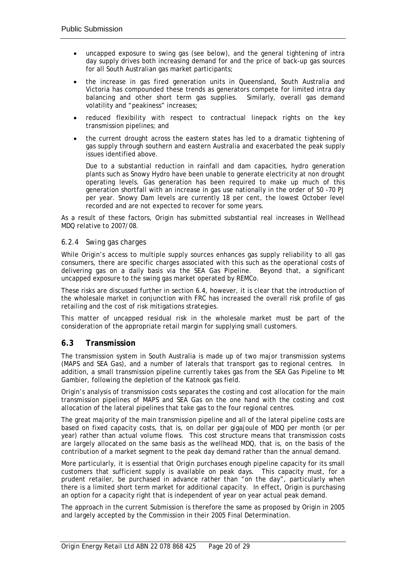- <span id="page-22-0"></span>• uncapped exposure to swing gas (see below), and the general tightening of intra day supply drives both increasing demand for and the price of back-up gas sources for all South Australian gas market participants;
- the increase in gas fired generation units in Queensland, South Australia and Victoria has compounded these trends as generators compete for limited intra day balancing and other short term gas supplies. Similarly, overall gas demand volatility and "peakiness" increases;
- reduced flexibility with respect to contractual linepack rights on the key transmission pipelines; and
- the current drought across the eastern states has led to a dramatic tightening of gas supply through southern and eastern Australia and exacerbated the peak supply issues identified above.

Due to a substantial reduction in rainfall and dam capacities, hydro generation plants such as Snowy Hydro have been unable to generate electricity at non drought operating levels. Gas generation has been required to make up much of this generation shortfall with an increase in gas use nationally in the order of 50 -70 PJ per year. Snowy Dam levels are currently 18 per cent, the lowest October level recorded and are not expected to recover for some years.

As a result of these factors, Origin has submitted substantial real increases in Wellhead MDQ relative to 2007/08.

#### *6.2.4 Swing gas charges*

While Origin's access to multiple supply sources enhances gas supply reliability to all gas consumers, there are specific charges associated with this such as the operational costs of delivering gas on a daily basis via the SEA Gas Pipeline. Beyond that, a significant uncapped exposure to the swing gas market operated by REMCo.

These risks are discussed further in section 6.4, however, it is clear that the introduction of the wholesale market in conjunction with FRC has increased the overall risk profile of gas retailing and the cost of risk mitigations strategies.

This matter of uncapped residual risk in the wholesale market must be part of the consideration of the appropriate retail margin for supplying small customers.

### **6.3 Transmission**

The transmission system in South Australia is made up of two major transmission systems (MAPS and SEA Gas), and a number of laterals that transport gas to regional centres. In addition, a small transmission pipeline currently takes gas from the SEA Gas Pipeline to Mt Gambier, following the depletion of the Katnook gas field.

Origin's analysis of transmission costs separates the costing and cost allocation for the main transmission pipelines of MAPS and SEA Gas on the one hand with the costing and cost allocation of the lateral pipelines that take gas to the four regional centres.

The great majority of the main transmission pipeline and all of the lateral pipeline costs are based on fixed capacity costs, that is, on dollar per gigajoule of MDQ per month (or per year) rather than actual volume flows. This cost structure means that transmission costs are largely allocated on the same basis as the wellhead MDQ, that is, on the basis of the contribution of a market segment to the peak day demand rather than the annual demand.

More particularly, it is essential that Origin purchases enough pipeline capacity for its small customers that sufficient supply is available on peak days. This capacity must, for a prudent retailer, be purchased in advance rather than "on the day", particularly when there is a limited short term market for additional capacity. In effect, Origin is purchasing an option for a capacity right that is independent of year on year actual peak demand.

The approach in the current Submission is therefore the same as proposed by Origin in 2005 and largely accepted by the Commission in their 2005 Final Determination.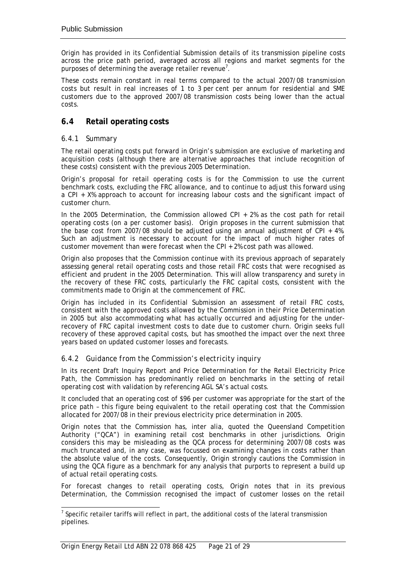<span id="page-23-0"></span>Origin has provided in its Confidential Submission details of its transmission pipeline costs across the price path period, averaged across all regions and market segments for the purposes of determining the average retailer revenue<sup>7</sup>[.](#page-23-1)

These costs remain constant in real terms compared to the actual 2007/08 transmission costs but result in real increases of 1 to 3 per cent per annum for residential and SME customers due to the approved 2007/08 transmission costs being lower than the actual costs.

## **6.4 Retail operating costs**

### *6.4.1 Summary*

The retail operating costs put forward in Origin's submission are exclusive of marketing and acquisition costs (although there are alternative approaches that include recognition of these costs) consistent with the previous 2005 Determination.

Origin's proposal for retail operating costs is for the Commission to use the current benchmark costs, excluding the FRC allowance, and to continue to adjust this forward using a CPI + X% approach to account for increasing labour costs and the significant impact of customer churn.

In the 2005 Determination, the Commission allowed CPI + 2% as the cost path for retail operating costs (on a per customer basis). Origin proposes in the current submission that the base cost from 2007/08 should be adjusted using an annual adjustment of CPI + 4%. Such an adjustment is necessary to account for the impact of much higher rates of customer movement than were forecast when the CPI + 2% cost path was allowed.

Origin also proposes that the Commission continue with its previous approach of separately assessing general retail operating costs and those retail FRC costs that were recognised as efficient and prudent in the 2005 Determination. This will allow transparency and surety in the recovery of these FRC costs, particularly the FRC capital costs, consistent with the commitments made to Origin at the commencement of FRC.

Origin has included in its Confidential Submission an assessment of retail FRC costs, consistent with the approved costs allowed by the Commission in their Price Determination in 2005 but also accommodating what has actually occurred and adjusting for the underrecovery of FRC capital investment costs to date due to customer churn. Origin seeks full recovery of these approved capital costs, but has smoothed the impact over the next three years based on updated customer losses and forecasts.

### *6.4.2 Guidance from the Commission's electricity inquiry*

In its recent Draft Inquiry Report and Price Determination for the Retail Electricity Price Path, the Commission has predominantly relied on benchmarks in the setting of retail operating cost with validation by referencing AGL SA's actual costs.

It concluded that an operating cost of \$96 per customer was appropriate for the start of the price path – this figure being equivalent to the retail operating cost that the Commission allocated for 2007/08 in their previous electricity price determination in 2005.

Origin notes that the Commission has, inter alia, quoted the Queensland Competition Authority ("QCA") in examining retail cost benchmarks in other jurisdictions. Origin considers this may be misleading as the QCA process for determining 2007/08 costs was much truncated and, in any case, was focussed on examining changes in costs rather than the absolute value of the costs. Consequently, Origin strongly cautions the Commission in using the QCA figure as a benchmark for any analysis that purports to represent a build up of actual retail operating costs.

For forecast changes to retail operating costs, Origin notes that in its previous Determination, the Commission recognised the impact of customer losses on the retail

<span id="page-23-1"></span><sup>-&</sup>lt;br>7  $<sup>7</sup>$  Specific retailer tariffs will reflect in part, the additional costs of the lateral transmission</sup> pipelines.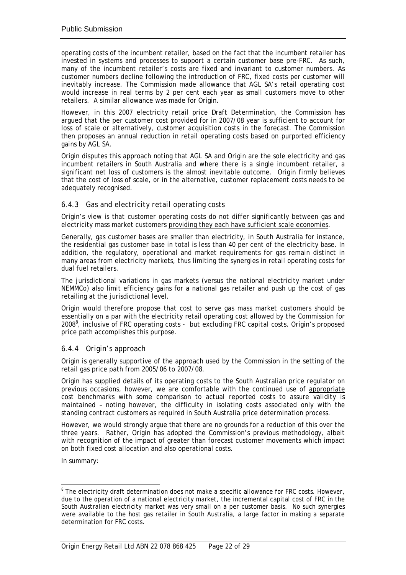operating costs of the incumbent retailer, based on the fact that the incumbent retailer has invested in systems and processes to support a certain customer base pre-FRC. As such, many of the incumbent retailer's costs are fixed and invariant to customer numbers. As customer numbers decline following the introduction of FRC, fixed costs per customer will inevitably increase. The Commission made allowance that AGL SA's retail operating cost would increase in real terms by 2 per cent each year as small customers move to other retailers. A similar allowance was made for Origin.

However, in this 2007 electricity retail price Draft Determination, the Commission has argued that the per customer cost provided for in 2007/08 year is sufficient to account for loss of scale or alternatively, customer acquisition costs in the forecast. The Commission then proposes an annual reduction in retail operating costs based on purported efficiency gains by AGL SA.

Origin disputes this approach noting that AGL SA and Origin are the sole electricity and gas incumbent retailers in South Australia and where there is a single incumbent retailer, a significant net loss of customers is the almost inevitable outcome. Origin firmly believes that the cost of loss of scale, or in the alternative, customer replacement costs needs to be adequately recognised.

### *6.4.3 Gas and electricity retail operating costs*

Origin's view is that customer operating costs do not differ significantly between gas and electricity mass market customers providing they each have sufficient scale economies.

Generally, gas customer bases are smaller than electricity, in South Australia for instance, the residential gas customer base in total is less than 40 per cent of the electricity base. In addition, the regulatory, operational and market requirements for gas remain distinct in many areas from electricity markets, thus limiting the synergies in retail operating costs for dual fuel retailers.

The jurisdictional variations in gas markets (versus the national electricity market under NEMMCo) also limit efficiency gains for a national gas retailer and push up the cost of gas retailing at the jurisdictional level.

Origin would therefore propose that cost to serve gas mass market customers should be essentially on a par with the electricity retail operating cost allowed by the Commission for 20088 , inclusive of FRC operating costs - *but excluding FRC capital costs*. Origin's proposed pric[e p](#page-24-0)ath accomplishes this purpose.

### *6.4.4 Origin's approach*

Origin is generally supportive of the approach used by the Commission in the setting of the retail gas price path from 2005/06 to 2007/08.

Origin has supplied details of its operating costs to the South Australian price regulator on previous occasions, however, we are comfortable with the continued use of appropriate cost benchmarks with some comparison to actual reported costs to assure validity is maintained – noting however, the difficulty in isolating costs associated only with the standing contract customers as required in South Australia price determination process.

However, we would strongly argue that there are no grounds for a reduction of this over the three years. Rather, Origin has adopted the Commission's previous methodology, albeit with recognition of the impact of greater than forecast customer movements which impact on both fixed cost allocation and also operational costs.

In summary:

<span id="page-24-0"></span> <sup>8</sup> <sup>8</sup> The electricity draft determination does not make a specific allowance for FRC costs. However, due to the operation of a national electricity market, the incremental capital cost of FRC in the South Australian electricity market was very small on a per customer basis. No such synergies were available to the host gas retailer in South Australia, a large factor in making a separate determination for FRC costs.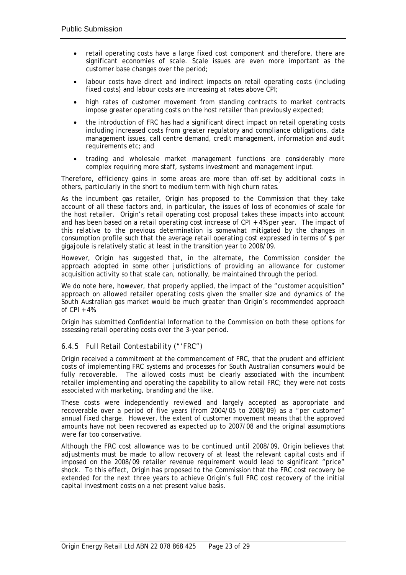- retail operating costs have a large fixed cost component and therefore, there are significant economies of scale. Scale issues are even more important as the customer base changes over the period;
- labour costs have direct and indirect impacts on retail operating costs (including fixed costs) and labour costs are increasing at rates above CPI;
- high rates of customer movement from standing contracts to market contracts impose greater operating costs on the host retailer than previously expected;
- the introduction of FRC has had a significant direct impact on retail operating costs including increased costs from greater regulatory and compliance obligations, data management issues, call centre demand, credit management, information and audit requirements etc; and
- trading and wholesale market management functions are considerably more complex requiring more staff, systems investment and management input.

Therefore, efficiency gains in some areas are more than off-set by additional costs in others, particularly in the short to medium term with high churn rates.

As the incumbent gas retailer, Origin has proposed to the Commission that they take account of all these factors and, in particular, the issues of loss of economies of scale for the host retailer. Origin's retail operating cost proposal takes these impacts into account and has been based on a retail operating cost increase of CPI + 4% per year. The impact of this relative to the previous determination is somewhat mitigated by the changes in consumption profile such that the average retail operating cost expressed in terms of \$ per gigajoule is relatively static at least in the transition year to 2008/09.

However, Origin has suggested that, in the alternate, the Commission consider the approach adopted in some other jurisdictions of providing an allowance for customer acquisition activity so that scale can, notionally, be maintained through the period.

We do note here, however, that properly applied, the impact of the "customer acquisition" approach on allowed retailer operating costs given the smaller size and dynamics of the South Australian gas market would be much greater than Origin's recommended approach of CPI + 4%.

Origin has submitted Confidential Information to the Commission on both these options for assessing retail operating costs over the 3-year period.

#### *6.4.5 Full Retail Contestability ("'FRC")*

Origin received a commitment at the commencement of FRC, that the prudent and efficient costs of implementing FRC systems and processes for South Australian consumers would be fully recoverable. The allowed costs must be clearly associated with the incumbent retailer implementing and operating the capability to allow retail FRC; they were not costs associated with marketing, branding and the like.

These costs were independently reviewed and largely accepted as appropriate and recoverable over a period of five years (from 2004/05 to 2008/09) as a "per customer" annual fixed charge. However, the extent of customer movement means that the approved amounts have not been recovered as expected up to 2007/08 and the original assumptions were far too conservative.

Although the FRC cost allowance was to be continued until 2008/09, Origin believes that adjustments must be made to allow recovery of at least the relevant capital costs and if imposed on the 2008/09 retailer revenue requirement would lead to significant "price" shock. To this effect, Origin has proposed to the Commission that the FRC cost recovery be extended for the next three years to achieve Origin's full FRC cost recovery of the initial capital investment costs on a net present value basis.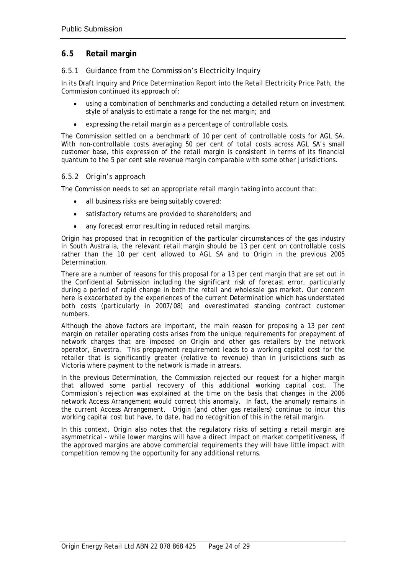## <span id="page-26-0"></span>**6.5 Retail margin**

### *6.5.1 Guidance from the Commission's Electricity Inquiry*

In its Draft Inquiry and Price Determination Report into the Retail Electricity Price Path, the Commission continued its approach of:

- using a combination of benchmarks and conducting a detailed return on investment style of analysis to estimate a range for the net margin; and
- expressing the retail margin as a percentage of controllable costs.

The Commission settled on a benchmark of 10 per cent of controllable costs for AGL SA. With non-controllable costs averaging 50 per cent of total costs across AGL SA's small customer base, this expression of the retail margin is consistent in terms of its financial quantum to the 5 per cent sale revenue margin comparable with some other jurisdictions.

#### *6.5.2 Origin's approach*

The Commission needs to set an appropriate retail margin taking into account that:

- all business risks are being suitably covered;
- satisfactory returns are provided to shareholders; and
- any forecast error resulting in reduced retail margins.

Origin has proposed that in recognition of the particular circumstances of the gas industry in South Australia, the relevant retail margin should be 13 per cent on controllable costs rather than the 10 per cent allowed to AGL SA and to Origin in the previous 2005 Determination.

There are a number of reasons for this proposal for a 13 per cent margin that are set out in the Confidential Submission including the significant risk of forecast error, particularly during a period of rapid change in both the retail and wholesale gas market. Our concern here is exacerbated by the experiences of the current Determination which has understated both costs (particularly in 2007/08) and overestimated standing contract customer numbers.

Although the above factors are important, the main reason for proposing a 13 per cent margin on retailer operating costs arises from the unique requirements for prepayment of network charges that are imposed on Origin and other gas retailers by the network operator, Envestra. This prepayment requirement leads to a working capital cost for the retailer that is significantly greater (relative to revenue) than in jurisdictions such as Victoria where payment to the network is made in arrears.

In the previous Determination, the Commission rejected our request for a higher margin that allowed some partial recovery of this additional working capital cost. The Commission's rejection was explained at the time on the basis that changes in the 2006 network Access Arrangement would correct this anomaly. In fact, the anomaly remains in the current Access Arrangement. Origin (and other gas retailers) continue to incur this working capital cost but have, to date, had no recognition of this in the retail margin.

In this context, Origin also notes that the regulatory risks of setting a retail margin are asymmetrical - while lower margins will have a direct impact on market competitiveness, if the approved margins are above commercial requirements they will have little impact with competition removing the opportunity for any additional returns.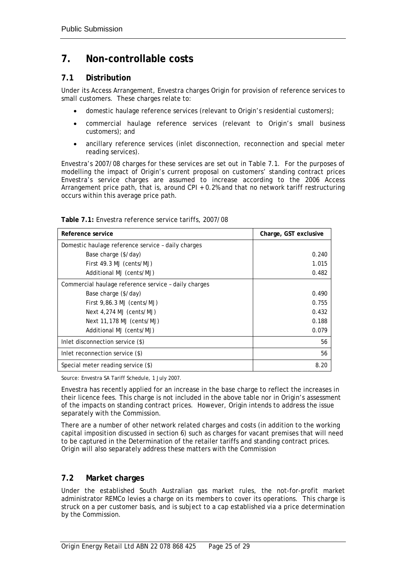## <span id="page-27-0"></span>**7. Non-controllable costs**

## **7.1 Distribution**

Under its Access Arrangement, Envestra charges Origin for provision of reference services to small customers. These charges relate to:

- domestic haulage reference services (relevant to Origin's residential customers);
- commercial haulage reference services (relevant to Origin's small business customers); and
- ancillary reference services (inlet disconnection, reconnection and special meter reading services).

Envestra's 2007/08 charges for these services are set out in Table 7.1. For the purposes of modelling the impact of Origin's current proposal on customers' standing contract prices Envestra's service charges are assumed to increase according to the 2006 Access Arrangement price path, that is, around CPI + 0.2% and that no network tariff restructuring occurs within this average price path.

| Reference service                                    | Charge, GST exclusive |
|------------------------------------------------------|-----------------------|
| Domestic haulage reference service - daily charges   |                       |
| Base charge (\$/day)                                 | 0.240                 |
| First 49.3 MJ (cents/MJ)                             | 1.015                 |
| Additional MJ (cents/MJ)                             | 0.482                 |
| Commercial haulage reference service - daily charges |                       |
| Base charge (\$/day)                                 | 0.490                 |
| First 9,86.3 MJ (cents/MJ)                           | 0.755                 |
| Next $4,274$ MJ (cents/MJ)                           | 0.432                 |
| Next 11,178 MJ (cents/MJ)                            | 0.188                 |
| Additional MJ (cents/MJ)                             | 0.079                 |
| Inlet disconnection service (\$)                     | 56                    |
| Inlet reconnection service (\$)                      | 56                    |
| Special meter reading service (\$)                   | 8.20                  |

| Table 7.1: Envestra reference service tariffs, 2007/08 |  |
|--------------------------------------------------------|--|
|--------------------------------------------------------|--|

Source: Envestra SA Tariff Schedule, 1 July 2007.

Envestra has recently applied for an increase in the base charge to reflect the increases in their licence fees. This charge is not included in the above table nor in Origin's assessment of the impacts on standing contract prices. However, Origin intends to address the issue separately with the Commission.

There are a number of other network related charges and costs (in addition to the working capital imposition discussed in section 6) such as charges for vacant premises that will need to be captured in the Determination of the retailer tariffs and standing contract prices. Origin will also separately address these matters with the Commission

## **7.2 Market charges**

Under the established South Australian gas market rules, the not-for-profit market administrator REMCo levies a charge on its members to cover its operations. This charge is struck on a per customer basis, and is subject to a cap established via a price determination by the Commission.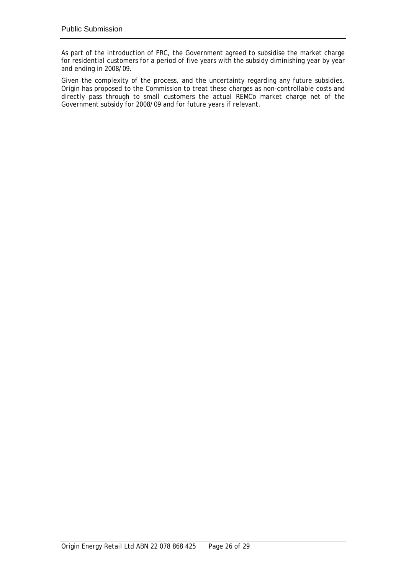As part of the introduction of FRC, the Government agreed to subsidise the market charge for residential customers for a period of five years with the subsidy diminishing year by year and ending in 2008/09.

Given the complexity of the process, and the uncertainty regarding any future subsidies, Origin has proposed to the Commission to treat these charges as non-controllable costs and directly pass through to small customers the actual REMCo market charge net of the Government subsidy for 2008/09 and for future years if relevant.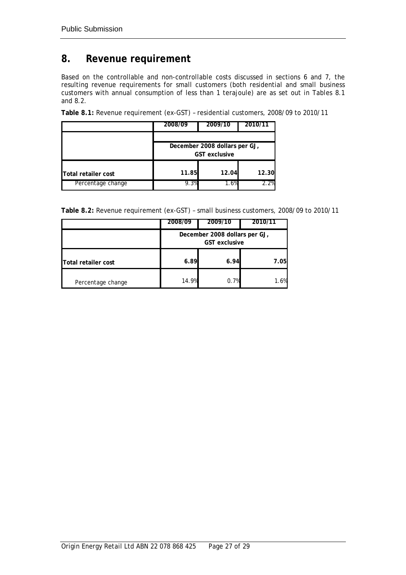## <span id="page-29-0"></span>**8. Revenue requirement**

Based on the controllable and non-controllable costs discussed in sections 6 and 7, the resulting revenue requirements for small customers (both residential and small business customers with annual consumption of less than 1 terajoule) are as set out in Tables 8.1 and 8.2.

|                     | 2008/09 | 2009/10                                               | 2010/11 |  |
|---------------------|---------|-------------------------------------------------------|---------|--|
|                     |         | December 2008 dollars per GJ,<br><b>GST</b> exclusive |         |  |
| Total retailer cost | 11.85   | 12.04                                                 | 12.30   |  |
| Percentage change   | 9.3%    | $1.6\%$                                               | 2.2%    |  |

**Table 8.1:** Revenue requirement (ex-GST) – residential customers, 2008/09 to 2010/11

|                     | 2008/09                                               | 2009/10 | 2010/11 |
|---------------------|-------------------------------------------------------|---------|---------|
|                     | December 2008 dollars per GJ,<br><b>GST</b> exclusive |         |         |
| Total retailer cost | 6.89                                                  | 6.94    | 7.05    |
| Percentage change   | 14.9%                                                 | 0.7%    | 1.6%    |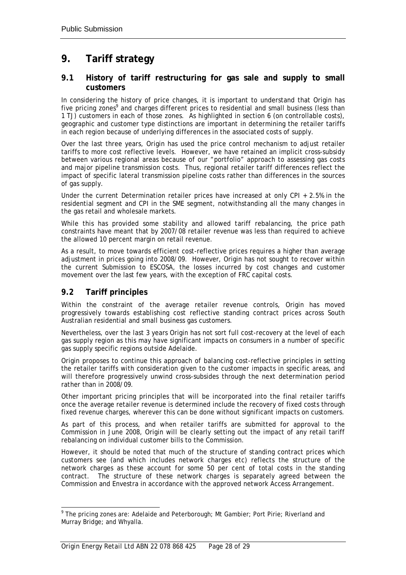## <span id="page-30-0"></span>**9. Tariff strategy**

### **9.1 History of tariff restructuring for gas sale and supply to small customers**

In considering the history of price changes, it is important to understand that Origin has five pricing zones<sup>9</sup> and charges different prices to residential and small business (less than 1 TJ) customers i[n](#page-30-1) each of those zones. As highlighted in section 6 (on controllable costs), geographic and customer type distinctions are important in determining the retailer tariffs in each region because of underlying differences in the associated costs of supply.

Over the last three years, Origin has used the price control mechanism to adjust retailer tariffs to more cost reflective levels. However, we have retained an implicit cross-subsidy between various regional areas because of our "portfolio" approach to assessing gas costs and major pipeline transmission costs. Thus, regional retailer tariff differences reflect the impact of specific lateral transmission pipeline costs rather than differences in the sources of gas supply.

Under the current Determination retailer prices have increased at only CPI + 2.5% in the residential segment and CPI in the SME segment, notwithstanding all the many changes in the gas retail and wholesale markets.

While this has provided some stability and allowed tariff rebalancing, the price path constraints have meant that by 2007/08 retailer revenue was less than required to achieve the allowed 10 percent margin on retail revenue.

As a result, to move towards efficient cost-reflective prices requires a higher than average adjustment in prices going into 2008/09. However, Origin has not sought to recover within the current Submission to ESCOSA, the losses incurred by cost changes and customer movement over the last few years, with the exception of FRC capital costs.

## **9.2 Tariff principles**

Within the constraint of the average retailer revenue controls, Origin has moved progressively towards establishing cost reflective standing contract prices across South Australian residential and small business gas customers.

Nevertheless, over the last 3 years Origin has not sort full cost-recovery at the level of each gas supply region as this may have significant impacts on consumers in a number of specific gas supply specific regions outside Adelaide.

Origin proposes to continue this approach of balancing cost-reflective principles in setting the retailer tariffs with consideration given to the customer impacts in specific areas, and will therefore progressively unwind cross-subsides through the next determination period rather than in 2008/09.

Other important pricing principles that will be incorporated into the final retailer tariffs once the average retailer revenue is determined include the recovery of fixed costs through fixed revenue charges, wherever this can be done without significant impacts on customers.

As part of this process, and when retailer tariffs are submitted for approval to the Commission in June 2008, Origin will be clearly setting out the impact of any retail tariff rebalancing on individual customer bills to the Commission.

However, it should be noted that much of the structure of standing contract prices which customers see (and which includes network charges etc) reflects the structure of the network charges as these account for some 50 per cent of total costs in the standing contract. The structure of these network charges is separately agreed between the Commission and Envestra in accordance with the approved network Access Arrangement.

<span id="page-30-1"></span> <sup>9</sup>  $9$  The pricing zones are: Adelaide and Peterborough; Mt Gambier; Port Pirie; Riverland and Murray Bridge; and Whyalla.